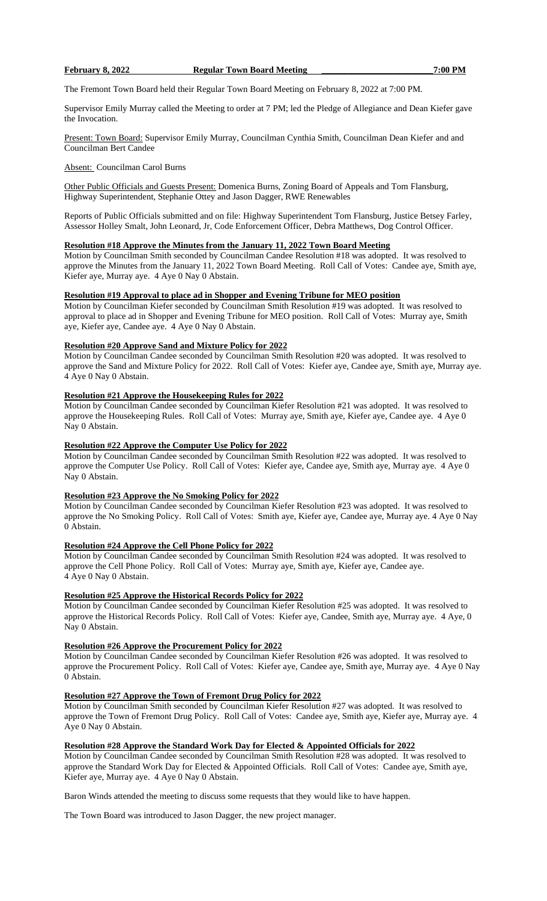### **February 8, 2022 Regular Town Board Meeting \_\_\_\_\_\_\_\_\_\_\_\_\_\_\_\_\_\_\_\_\_\_\_\_\_7:00 PM**

The Fremont Town Board held their Regular Town Board Meeting on February 8, 2022 at 7:00 PM.

Supervisor Emily Murray called the Meeting to order at 7 PM; led the Pledge of Allegiance and Dean Kiefer gave the Invocation.

Present: Town Board: Supervisor Emily Murray, Councilman Cynthia Smith, Councilman Dean Kiefer and and Councilman Bert Candee

Absent: Councilman Carol Burns

Other Public Officials and Guests Present: Domenica Burns, Zoning Board of Appeals and Tom Flansburg, Highway Superintendent, Stephanie Ottey and Jason Dagger, RWE Renewables

Reports of Public Officials submitted and on file: Highway Superintendent Tom Flansburg, Justice Betsey Farley, Assessor Holley Smalt, John Leonard, Jr, Code Enforcement Officer, Debra Matthews, Dog Control Officer.

# **Resolution #18 Approve the Minutes from the January 11, 2022 Town Board Meeting**

Motion by Councilman Smith seconded by Councilman Candee Resolution #18 was adopted. It was resolved to approve the Minutes from the January 11, 2022 Town Board Meeting. Roll Call of Votes: Candee aye, Smith aye, Kiefer aye, Murray aye. 4 Aye 0 Nay 0 Abstain.

### **Resolution #19 Approval to place ad in Shopper and Evening Tribune for MEO position**

Motion by Councilman Kiefer seconded by Councilman Smith Resolution #19 was adopted. It was resolved to approval to place ad in Shopper and Evening Tribune for MEO position. Roll Call of Votes: Murray aye, Smith aye, Kiefer aye, Candee aye. 4 Aye 0 Nay 0 Abstain.

### **Resolution #20 Approve Sand and Mixture Policy for 2022**

Motion by Councilman Candee seconded by Councilman Smith Resolution #20 was adopted. It was resolved to approve the Sand and Mixture Policy for 2022. Roll Call of Votes: Kiefer aye, Candee aye, Smith aye, Murray aye. 4 Aye 0 Nay 0 Abstain.

#### **Resolution #21 Approve the Housekeeping Rules for 2022**

Motion by Councilman Candee seconded by Councilman Kiefer Resolution #21 was adopted. It was resolved to approve the Housekeeping Rules. Roll Call of Votes: Murray aye, Smith aye, Kiefer aye, Candee aye. 4 Aye 0 Nay 0 Abstain.

### **Resolution #22 Approve the Computer Use Policy for 2022**

Motion by Councilman Candee seconded by Councilman Smith Resolution #22 was adopted. It was resolved to approve the Computer Use Policy. Roll Call of Votes: Kiefer aye, Candee aye, Smith aye, Murray aye. 4 Aye 0 Nay 0 Abstain.

#### **Resolution #23 Approve the No Smoking Policy for 2022**

Motion by Councilman Candee seconded by Councilman Kiefer Resolution #23 was adopted. It was resolved to approve the No Smoking Policy. Roll Call of Votes: Smith aye, Kiefer aye, Candee aye, Murray aye. 4 Aye 0 Nay 0 Abstain.

#### **Resolution #24 Approve the Cell Phone Policy for 2022**

Motion by Councilman Candee seconded by Councilman Smith Resolution #24 was adopted. It was resolved to approve the Cell Phone Policy. Roll Call of Votes: Murray aye, Smith aye, Kiefer aye, Candee aye. 4 Aye 0 Nay 0 Abstain.

### **Resolution #25 Approve the Historical Records Policy for 2022**

Motion by Councilman Candee seconded by Councilman Kiefer Resolution #25 was adopted. It was resolved to approve the Historical Records Policy. Roll Call of Votes: Kiefer aye, Candee, Smith aye, Murray aye. 4 Aye, 0 Nay 0 Abstain.

#### **Resolution #26 Approve the Procurement Policy for 2022**

Motion by Councilman Candee seconded by Councilman Kiefer Resolution #26 was adopted. It was resolved to approve the Procurement Policy. Roll Call of Votes: Kiefer aye, Candee aye, Smith aye, Murray aye. 4 Aye 0 Nay 0 Abstain.

### **Resolution #27 Approve the Town of Fremont Drug Policy for 2022**

Motion by Councilman Smith seconded by Councilman Kiefer Resolution #27 was adopted. It was resolved to approve the Town of Fremont Drug Policy. Roll Call of Votes: Candee aye, Smith aye, Kiefer aye, Murray aye. 4 Aye 0 Nay 0 Abstain.

### **Resolution #28 Approve the Standard Work Day for Elected & Appointed Officials for 2022**

Motion by Councilman Candee seconded by Councilman Smith Resolution #28 was adopted. It was resolved to approve the Standard Work Day for Elected & Appointed Officials. Roll Call of Votes: Candee aye, Smith aye, Kiefer aye, Murray aye. 4 Aye 0 Nay 0 Abstain.

Baron Winds attended the meeting to discuss some requests that they would like to have happen.

The Town Board was introduced to Jason Dagger, the new project manager.